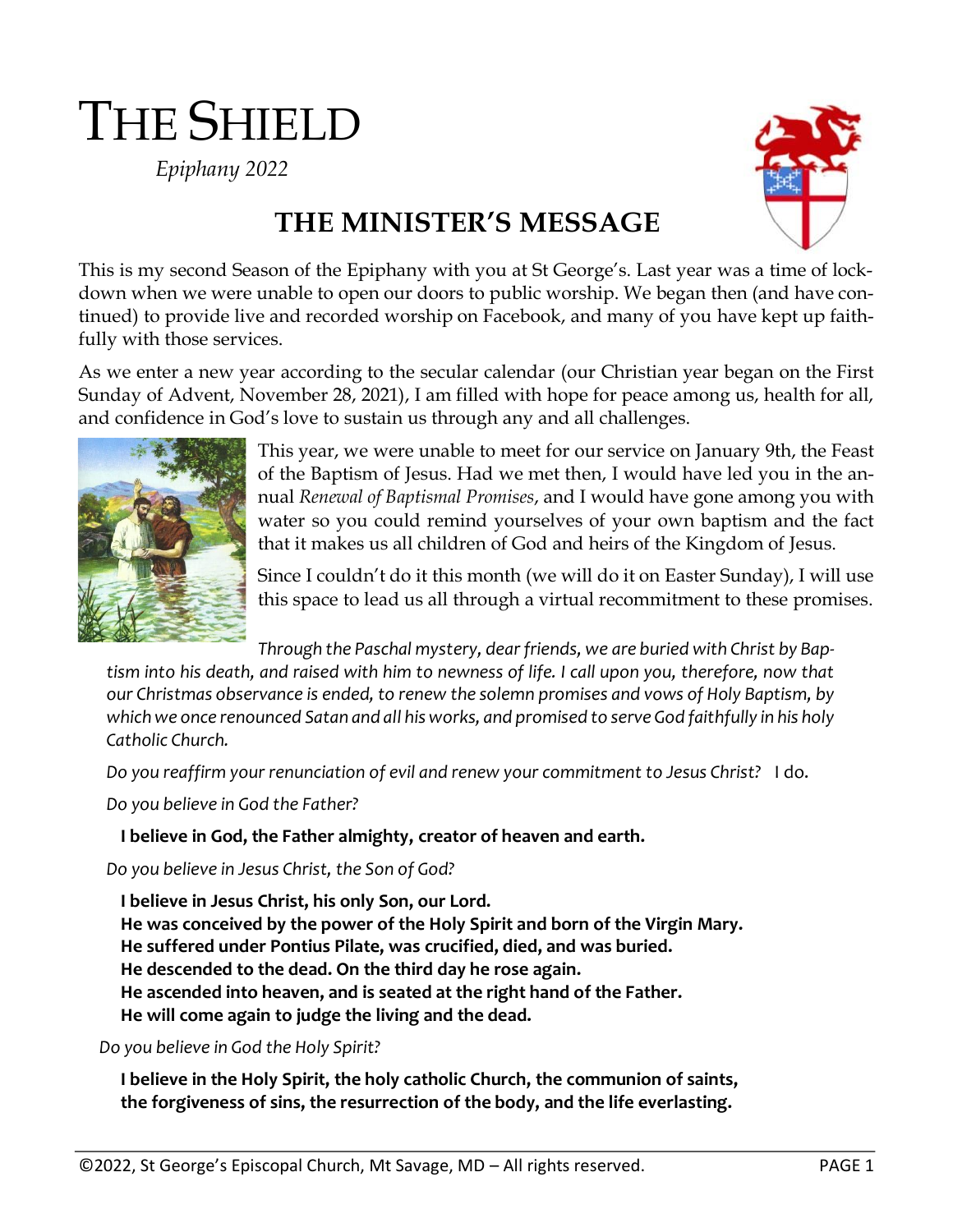# THE SHIELD

*Epiphany 2022*



## **THE MINISTER'S MESSAGE**

This is my second Season of the Epiphany with you at St George's. Last year was a time of lockdown when we were unable to open our doors to public worship. We began then (and have continued) to provide live and recorded worship on Facebook, and many of you have kept up faithfully with those services.

As we enter a new year according to the secular calendar (our Christian year began on the First Sunday of Advent, November 28, 2021), I am filled with hope for peace among us, health for all, and confidence in God's love to sustain us through any and all challenges.



This year, we were unable to meet for our service on January 9th, the Feast of the Baptism of Jesus. Had we met then, I would have led you in the annual *Renewal of Baptismal Promises*, and I would have gone among you with water so you could remind yourselves of your own baptism and the fact that it makes us all children of God and heirs of the Kingdom of Jesus.

Since I couldn't do it this month (we will do it on Easter Sunday), I will use this space to lead us all through a virtual recommitment to these promises.

*Through the Paschal mystery, dear friends, we are buried with Christ by Baptism into his death, and raised with him to newness of life. I call upon you, therefore, now that our Christmas observance is ended, to renew the solemn promises and vows of Holy Baptism, by which we once renounced Satan and all his works, and promised to serve God faithfully in his holy Catholic Church.*

*Do you reaffirm your renunciation of evil and renew your commitment to Jesus Christ?* I do.

*Do you believe in God the Father?*

#### **I believe in God, the Father almighty, creator of heaven and earth.**

*Do you believe in Jesus Christ, the Son of God?*

**I believe in Jesus Christ, his only Son, our Lord. He was conceived by the power of the Holy Spirit and born of the Virgin Mary. He suffered under Pontius Pilate, was crucified, died, and was buried. He descended to the dead. On the third day he rose again. He ascended into heaven, and is seated at the right hand of the Father. He will come again to judge the living and the dead.**

*Do you believe in God the Holy Spirit?*

**I believe in the Holy Spirit, the holy catholic Church, the communion of saints, the forgiveness of sins, the resurrection of the body, and the life everlasting.**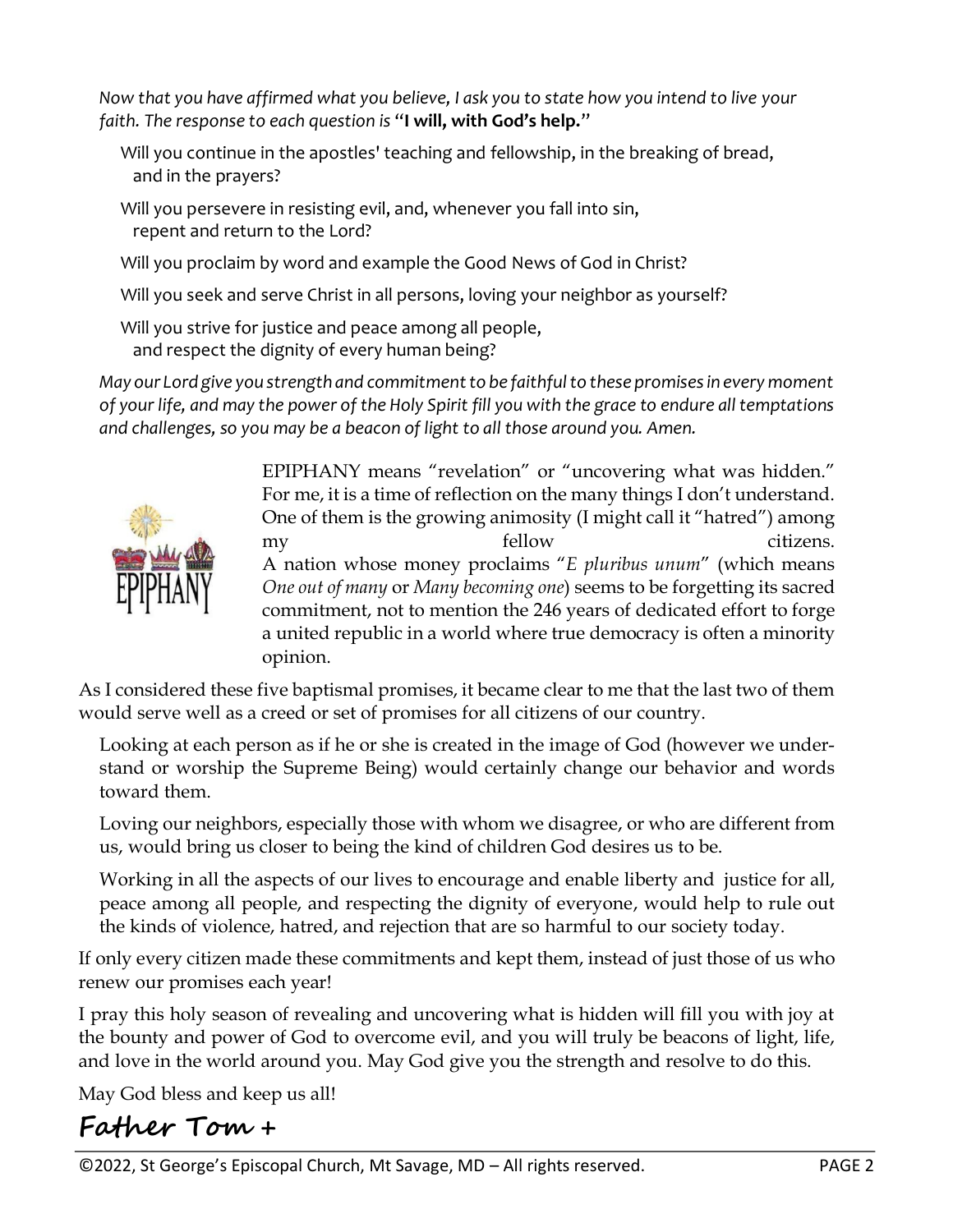*Now that you have affirmed what you believe, I ask you to state how you intend to live your faith. The response to each question is* "**I will, with God's help.**"

- Will you continue in the apostles' teaching and fellowship, in the breaking of bread, and in the prayers?
- Will you persevere in resisting evil, and, whenever you fall into sin, repent and return to the Lord?
- Will you proclaim by word and example the Good News of God in Christ?
- Will you seek and serve Christ in all persons, loving your neighbor as yourself?
- Will you strive for justice and peace among all people, and respect the dignity of every human being?

*May our Lord give you strength and commitment to be faithful to these promises in every moment of your life, and may the power of the Holy Spirit fill you with the grace to endure all temptations and challenges, so you may be a beacon of light to all those around you. Amen.*



EPIPHANY means "revelation" or "uncovering what was hidden." For me, it is a time of reflection on the many things I don't understand. One of them is the growing animosity (I might call it "hatred") among my fellow citizens. A nation whose money proclaims "*E pluribus unum*" (which means *One out of many* or *Many becoming one*) seems to be forgetting its sacred commitment, not to mention the 246 years of dedicated effort to forge a united republic in a world where true democracy is often a minority opinion.

As I considered these five baptismal promises, it became clear to me that the last two of them would serve well as a creed or set of promises for all citizens of our country.

Looking at each person as if he or she is created in the image of God (however we understand or worship the Supreme Being) would certainly change our behavior and words toward them.

Loving our neighbors, especially those with whom we disagree, or who are different from us, would bring us closer to being the kind of children God desires us to be.

Working in all the aspects of our lives to encourage and enable liberty and justice for all, peace among all people, and respecting the dignity of everyone, would help to rule out the kinds of violence, hatred, and rejection that are so harmful to our society today.

If only every citizen made these commitments and kept them, instead of just those of us who renew our promises each year!

I pray this holy season of revealing and uncovering what is hidden will fill you with joy at the bounty and power of God to overcome evil, and you will truly be beacons of light, life, and love in the world around you. May God give you the strength and resolve to do this.

May God bless and keep us all!

## **Father Tom +**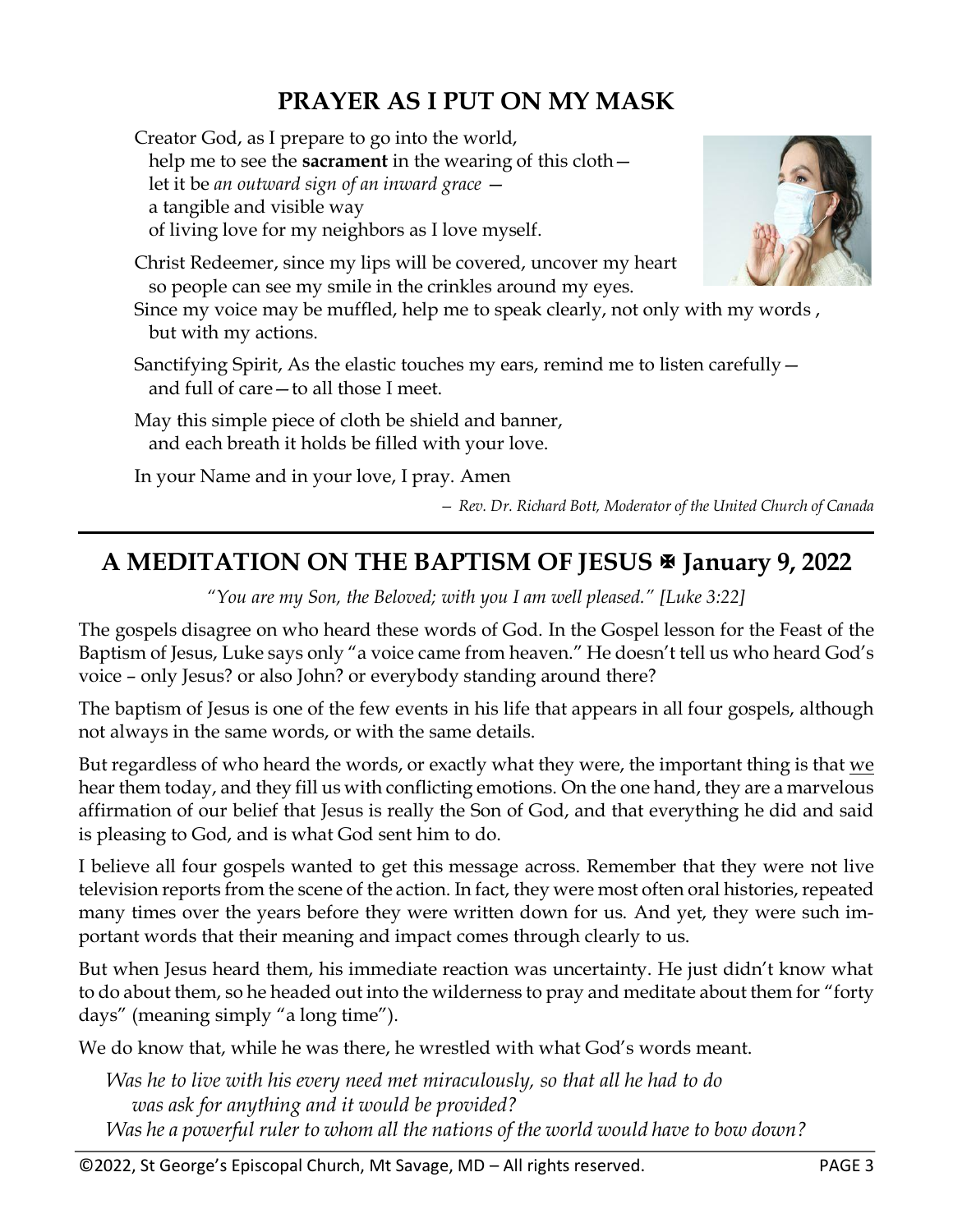### **PRAYER AS I PUT ON MY MASK**

Creator God, as I prepare to go into the world, help me to see the **sacrament** in the wearing of this cloth let it be *an outward sign of an inward grace* a tangible and visible way of living love for my neighbors as I love myself.

Christ Redeemer, since my lips will be covered, uncover my heart so people can see my smile in the crinkles around my eyes.

Since my voice may be muffled, help me to speak clearly, not only with my words , but with my actions.

Sanctifying Spirit, As the elastic touches my ears, remind me to listen carefully and full of care—to all those I meet.

May this simple piece of cloth be shield and banner, and each breath it holds be filled with your love.

In your Name and in your love, I pray. Amen

*— Rev. Dr. Richard Bott, Moderator of the United Church of Canada*

### **A MEDITATION ON THE BAPTISM OF JESUS January 9, 2022**

*"You are my Son, the Beloved; with you I am well pleased." [Luke 3:22]*

The gospels disagree on who heard these words of God. In the Gospel lesson for the Feast of the Baptism of Jesus, Luke says only "a voice came from heaven." He doesn't tell us who heard God's voice – only Jesus? or also John? or everybody standing around there?

The baptism of Jesus is one of the few events in his life that appears in all four gospels, although not always in the same words, or with the same details.

But regardless of who heard the words, or exactly what they were, the important thing is that we hear them today, and they fill us with conflicting emotions. On the one hand, they are a marvelous affirmation of our belief that Jesus is really the Son of God, and that everything he did and said is pleasing to God, and is what God sent him to do.

I believe all four gospels wanted to get this message across. Remember that they were not live television reports from the scene of the action. In fact, they were most often oral histories, repeated many times over the years before they were written down for us. And yet, they were such important words that their meaning and impact comes through clearly to us.

But when Jesus heard them, his immediate reaction was uncertainty. He just didn't know what to do about them, so he headed out into the wilderness to pray and meditate about them for "forty days" (meaning simply "a long time").

We do know that, while he was there, he wrestled with what God's words meant.

*Was he to live with his every need met miraculously, so that all he had to do was ask for anything and it would be provided? Was he a powerful ruler to whom all the nations of the world would have to bow down?* 

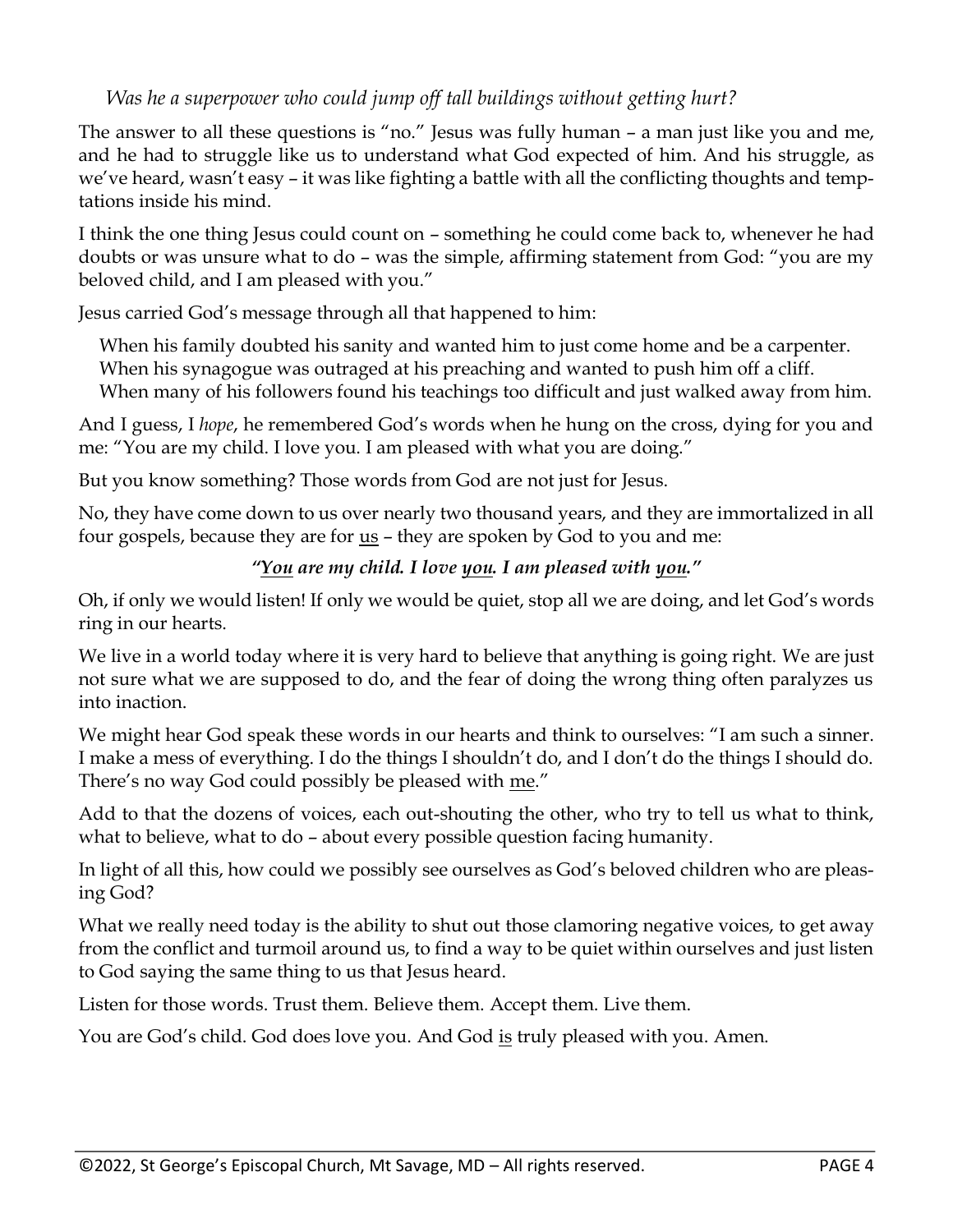#### *Was he a superpower who could jump off tall buildings without getting hurt?*

The answer to all these questions is "no." Jesus was fully human – a man just like you and me, and he had to struggle like us to understand what God expected of him. And his struggle, as we've heard, wasn't easy – it was like fighting a battle with all the conflicting thoughts and temptations inside his mind.

I think the one thing Jesus could count on – something he could come back to, whenever he had doubts or was unsure what to do – was the simple, affirming statement from God: "you are my beloved child, and I am pleased with you."

Jesus carried God's message through all that happened to him:

When his family doubted his sanity and wanted him to just come home and be a carpenter. When his synagogue was outraged at his preaching and wanted to push him off a cliff. When many of his followers found his teachings too difficult and just walked away from him.

And I guess, I *hope*, he remembered God's words when he hung on the cross, dying for you and me: "You are my child. I love you. I am pleased with what you are doing."

But you know something? Those words from God are not just for Jesus.

No, they have come down to us over nearly two thousand years, and they are immortalized in all four gospels, because they are for  $us$  – they are spoken by God to you and me:</u>

#### *"You are my child. I love you. I am pleased with you."*

Oh, if only we would listen! If only we would be quiet, stop all we are doing, and let God's words ring in our hearts.

We live in a world today where it is very hard to believe that anything is going right. We are just not sure what we are supposed to do, and the fear of doing the wrong thing often paralyzes us into inaction.

We might hear God speak these words in our hearts and think to ourselves: "I am such a sinner. I make a mess of everything. I do the things I shouldn't do, and I don't do the things I should do. There's no way God could possibly be pleased with me."

Add to that the dozens of voices, each out-shouting the other, who try to tell us what to think, what to believe, what to do – about every possible question facing humanity.

In light of all this, how could we possibly see ourselves as God's beloved children who are pleasing God?

What we really need today is the ability to shut out those clamoring negative voices, to get away from the conflict and turmoil around us, to find a way to be quiet within ourselves and just listen to God saying the same thing to us that Jesus heard.

Listen for those words. Trust them. Believe them. Accept them. Live them.

You are God's child. God does love you. And God is truly pleased with you. Amen.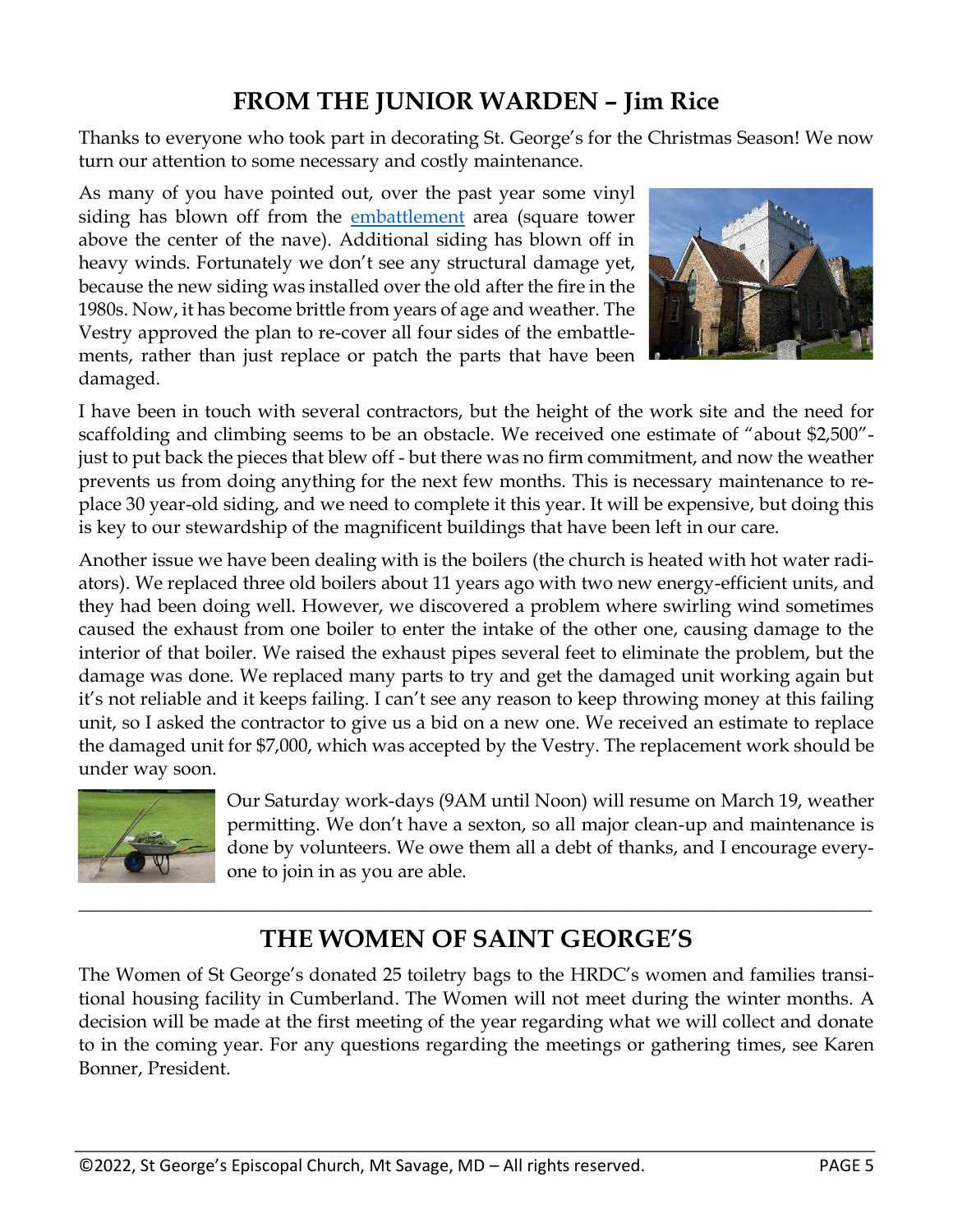### **FROM THE JUNIOR WARDEN – Jim Rice**

Thanks to everyone who took part in decorating St. George's for the Christmas Season! We now turn our attention to some necessary and costly maintenance.

As many of you have pointed out, over the past year some vinyl siding has blown off from the [embattlement](https://en.wikipedia.org/wiki/Battlement) area (square tower above the center of the nave). Additional siding has blown off in heavy winds. Fortunately we don't see any structural damage yet, because the new siding was installed over the old after the fire in the 1980s. Now, it has become brittle from years of age and weather. The Vestry approved the plan to re-cover all four sides of the embattlements, rather than just replace or patch the parts that have been damaged.



I have been in touch with several contractors, but the height of the work site and the need for scaffolding and climbing seems to be an obstacle. We received one estimate of "about \$2,500" just to put back the pieces that blew off - but there was no firm commitment, and now the weather prevents us from doing anything for the next few months. This is necessary maintenance to replace 30 year-old siding, and we need to complete it this year. It will be expensive, but doing this is key to our stewardship of the magnificent buildings that have been left in our care.

Another issue we have been dealing with is the boilers (the church is heated with hot water radiators). We replaced three old boilers about 11 years ago with two new energy-efficient units, and they had been doing well. However, we discovered a problem where swirling wind sometimes caused the exhaust from one boiler to enter the intake of the other one, causing damage to the interior of that boiler. We raised the exhaust pipes several feet to eliminate the problem, but the damage was done. We replaced many parts to try and get the damaged unit working again but it's not reliable and it keeps failing. I can't see any reason to keep throwing money at this failing unit, so I asked the contractor to give us a bid on a new one. We received an estimate to replace the damaged unit for \$7,000, which was accepted by the Vestry. The replacement work should be under way soon.



Our Saturday work-days (9AM until Noon) will resume on March 19, weather permitting. We don't have a sexton, so all major clean-up and maintenance is done by volunteers. We owe them all a debt of thanks, and I encourage everyone to join in as you are able.

### **THE WOMEN OF SAINT GEORGE'S**

\_\_\_\_\_\_\_\_\_\_\_\_\_\_\_\_\_\_\_\_\_\_\_\_\_\_\_\_\_\_\_\_\_\_\_\_\_\_\_\_\_\_\_\_\_\_\_\_\_\_\_\_\_\_\_\_\_\_\_\_\_\_\_\_\_\_\_\_\_\_\_\_\_\_\_\_\_\_\_\_\_\_\_\_\_

The Women of St George's donated 25 toiletry bags to the HRDC's women and families transitional housing facility in Cumberland. The Women will not meet during the winter months. A decision will be made at the first meeting of the year regarding what we will collect and donate to in the coming year. For any questions regarding the meetings or gathering times, see Karen Bonner, President.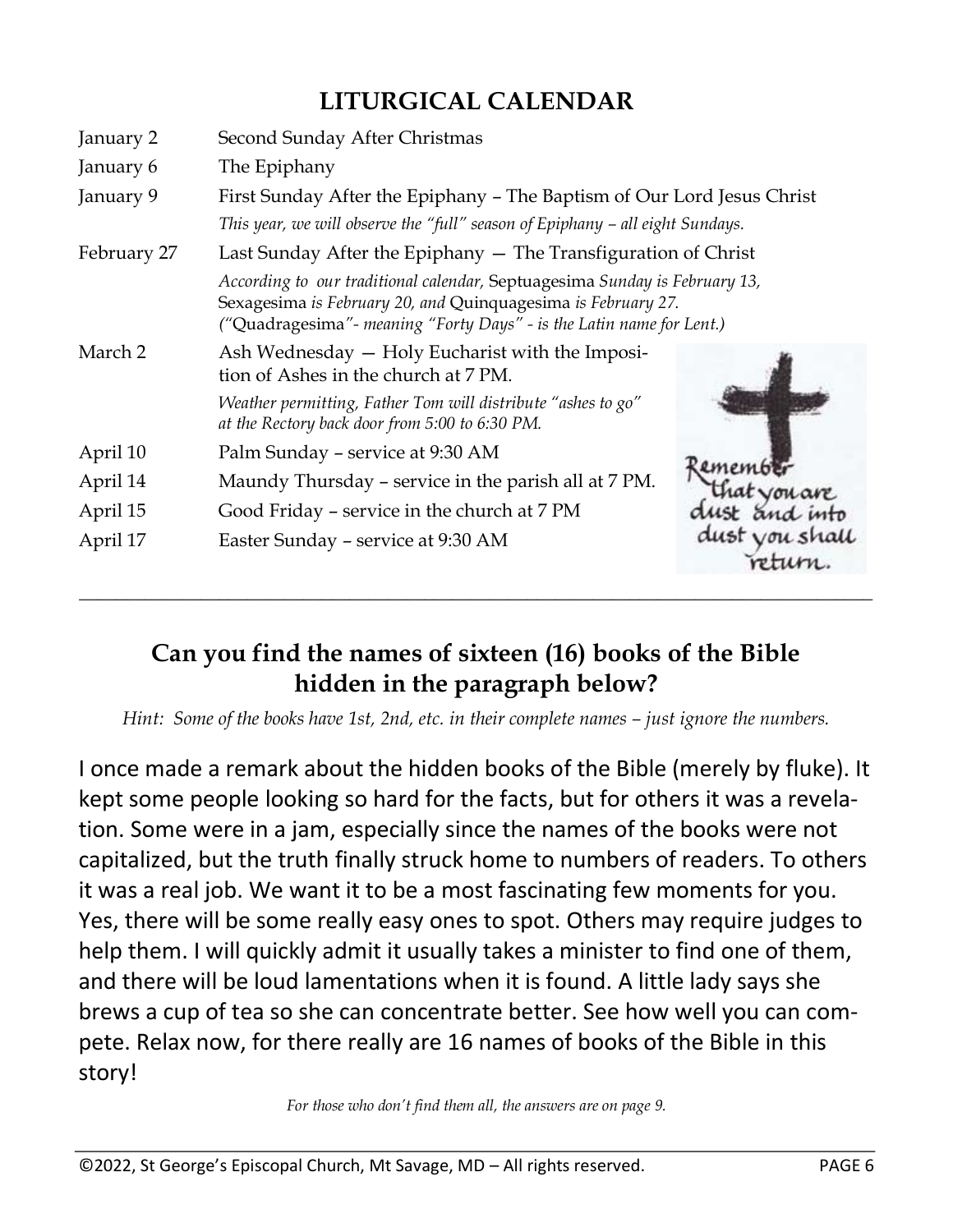### **LITURGICAL CALENDAR**

| January 2   | Second Sunday After Christmas                                                                                                                                                                                       |                                     |  |
|-------------|---------------------------------------------------------------------------------------------------------------------------------------------------------------------------------------------------------------------|-------------------------------------|--|
| January 6   | The Epiphany                                                                                                                                                                                                        |                                     |  |
| January 9   | First Sunday After the Epiphany – The Baptism of Our Lord Jesus Christ                                                                                                                                              |                                     |  |
|             | This year, we will observe the "full" season of Epiphany – all eight Sundays.                                                                                                                                       |                                     |  |
| February 27 | Last Sunday After the Epiphany - The Transfiguration of Christ                                                                                                                                                      |                                     |  |
|             | According to our traditional calendar, Septuagesima Sunday is February 13,<br>Sexagesima is February 20, and Quinquagesima is February 27.<br>("Quadragesima" - meaning "Forty Days" - is the Latin name for Lent.) |                                     |  |
| March 2     | Ash Wednesday - Holy Eucharist with the Imposi-<br>tion of Ashes in the church at 7 PM.                                                                                                                             |                                     |  |
|             | Weather permitting, Father Tom will distribute "ashes to go"<br>at the Rectory back door from 5:00 to 6:30 PM.                                                                                                      |                                     |  |
| April 10    | Palm Sunday - service at 9:30 AM                                                                                                                                                                                    |                                     |  |
| April 14    | Maundy Thursday - service in the parish all at 7 PM.                                                                                                                                                                | ететы                               |  |
| April 15    | Good Friday - service in the church at 7 PM                                                                                                                                                                         | and into<br>dust vou shall<br>eturn |  |
| April 17    | Easter Sunday - service at 9:30 AM                                                                                                                                                                                  |                                     |  |

### **Can you find the names of sixteen (16) books of the Bible hidden in the paragraph below?**

**\_\_\_\_\_\_\_\_\_\_\_\_\_\_\_\_\_\_\_\_\_\_\_\_\_\_\_\_\_\_\_\_\_\_\_\_\_\_\_\_\_\_\_\_\_\_\_\_\_\_\_\_\_\_\_\_\_\_\_\_\_\_\_\_\_\_\_\_\_\_\_\_\_\_\_\_\_\_\_\_\_\_\_\_\_**

*Hint: Some of the books have 1st, 2nd, etc. in their complete names – just ignore the numbers.* 

I once made a remark about the hidden books of the Bible (merely by fluke). It kept some people looking so hard for the facts, but for others it was a revelation. Some were in a jam, especially since the names of the books were not capitalized, but the truth finally struck home to numbers of readers. To others it was a real job. We want it to be a most fascinating few moments for you. Yes, there will be some really easy ones to spot. Others may require judges to help them. I will quickly admit it usually takes a minister to find one of them, and there will be loud lamentations when it is found. A little lady says she brews a cup of tea so she can concentrate better. See how well you can compete. Relax now, for there really are 16 names of books of the Bible in this story!

*For those who don't find them all, the answers are on page 9.*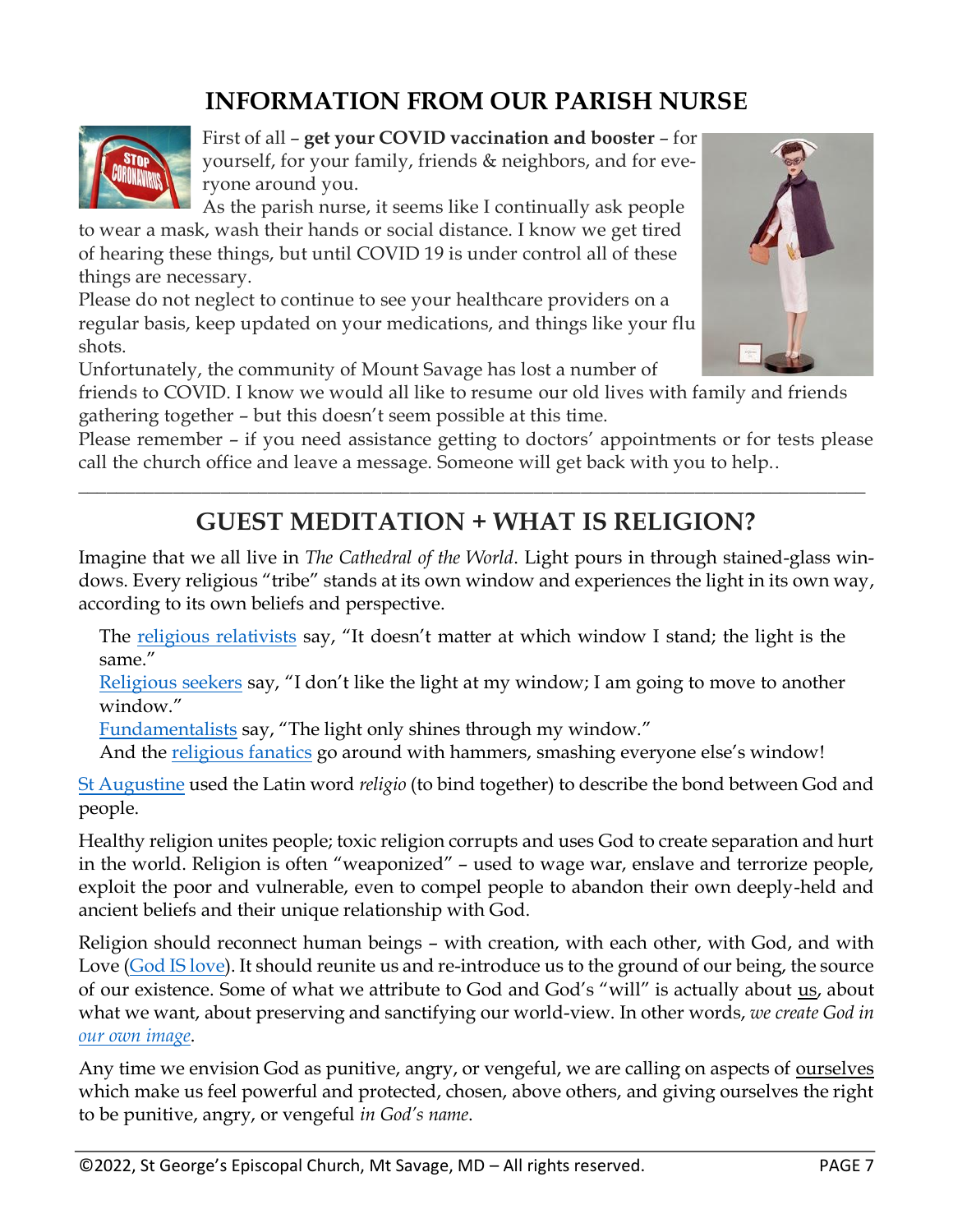### **INFORMATION FROM OUR PARISH NURSE**



First of all – **get your COVID vaccination and booster** – for yourself, for your family, friends & neighbors, and for everyone around you.

As the parish nurse, it seems like I continually ask people to wear a mask, wash their hands or social distance. I know we get tired of hearing these things, but until COVID 19 is under control all of these things are necessary.

Please do not neglect to continue to see your healthcare providers on a regular basis, keep updated on your medications, and things like your flu shots.

Unfortunately, the community of Mount Savage has lost a number of

friends to COVID. I know we would all like to resume our old lives with family and friends gathering together – but this doesn't seem possible at this time.

Please remember – if you need assistance getting to doctors' appointments or for tests please call the church office and leave a message. Someone will get back with you to help..

### **GUEST MEDITATION + WHAT IS RELIGION?**

\_\_\_\_\_\_\_\_\_\_\_\_\_\_\_\_\_\_\_\_\_\_\_\_\_\_\_\_\_\_\_\_\_\_\_\_\_\_\_\_\_\_\_\_\_\_\_\_\_\_\_\_\_\_\_\_\_\_\_\_\_\_\_\_\_\_\_\_\_\_\_\_\_\_\_\_\_\_\_\_\_\_\_

Imagine that we all live in *The Cathedral of the World*. Light pours in through stained-glass windows. Every religious "tribe" stands at its own window and experiences the light in its own way, according to its own beliefs and perspective.

The [religious relativists](https://www.desiringgod.org/messages/the-challenge-of-relativism) say, "It doesn't matter at which window I stand; the light is the same."

[Religious seekers](https://www.harvardsquarelibrary.org/theology-philosophy/appendix-henry-nelson-wieman-the-confessions-of-a-religious-seeker/) say, "I don't like the light at my window; I am going to move to another window"

[Fundamentalists](https://www.u-s-history.com/pages/h3806.html) say, "The light only shines through my window."

And the [religious fanatics](https://www.gotquestions.org/fanaticism-Christian.html) go around with hammers, smashing everyone else's window!

[St Augustine](https://en.wikipedia.org/wiki/Augustine_of_Hippo) used the Latin word *religio* (to bind together) to describe the bond between God and people.

Healthy religion unites people; toxic religion corrupts and uses God to create separation and hurt in the world. Religion is often "weaponized" – used to wage war, enslave and terrorize people, exploit the poor and vulnerable, even to compel people to abandon their own deeply-held and ancient beliefs and their unique relationship with God.

Religion should reconnect human beings – with creation, with each other, with God, and with Love [\(God IS love\)](https://www.biblegateway.com/passage/?search=1%20John%204:7-12&version=ESV). It should reunite us and re-introduce us to the ground of our being, the source of our existence. Some of what we attribute to God and God's "will" is actually about us, about what we want, about preserving and sanctifying our world-view. In other words, *we create God in our [own image](https://answersingenesis.org/genesis/what-is-image-of-god/)*.

Any time we envision God as punitive, angry, or vengeful, we are calling on aspects of ourselves which make us feel powerful and protected, chosen, above others, and giving ourselves the right to be punitive, angry, or vengeful *in God's name*.

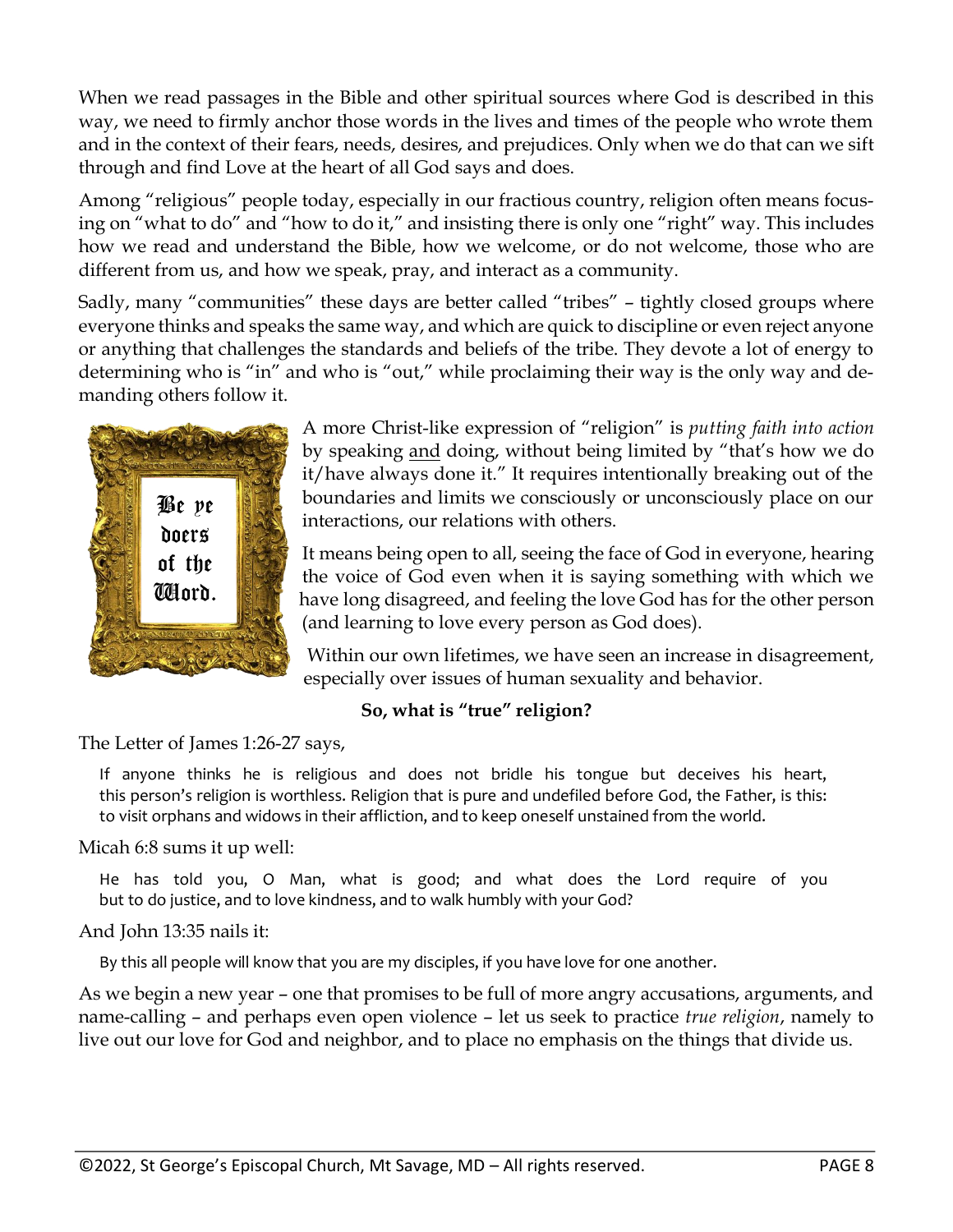When we read passages in the Bible and other spiritual sources where God is described in this way, we need to firmly anchor those words in the lives and times of the people who wrote them and in the context of their fears, needs, desires, and prejudices. Only when we do that can we sift through and find Love at the heart of all God says and does.

Among "religious" people today, especially in our fractious country, religion often means focusing on "what to do" and "how to do it," and insisting there is only one "right" way. This includes how we read and understand the Bible, how we welcome, or do not welcome, those who are different from us, and how we speak, pray, and interact as a community.

Sadly, many "communities" these days are better called "tribes" – tightly closed groups where everyone thinks and speaks the same way, and which are quick to discipline or even reject anyone or anything that challenges the standards and beliefs of the tribe. They devote a lot of energy to determining who is "in" and who is "out," while proclaiming their way is the only way and demanding others follow it.



A more Christ-like expression of "religion" is *putting faith into action* by speaking and doing, without being limited by "that's how we do it/have always done it." It requires intentionally breaking out of the boundaries and limits we consciously or unconsciously place on our interactions, our relations with others.

It means being open to all, seeing the face of God in everyone, hearing the voice of God even when it is saying something with which we have long disagreed, and feeling the love God has for the other person (and learning to love every person as God does).

Within our own lifetimes, we have seen an increase in disagreement, especially over issues of human sexuality and behavior.

#### **So, what is "true" religion?**

The Letter of James 1:26-27 says,

If anyone thinks he is religious and does not bridle his tongue but deceives his heart, this person's religion is worthless. Religion that is pure and undefiled before God, the Father, is this: to visit orphans and widows in their affliction, and to keep oneself unstained from the world.

Micah 6:8 sums it up well:

He has told you, O Man, what is good; and what does the Lord require of you but to do justice, and to love kindness, and to walk humbly with your God?

And John 13:35 nails it:

By this all people will know that you are my disciples, if you have love for one another.

As we begin a new year – one that promises to be full of more angry accusations, arguments, and name-calling – and perhaps even open violence – let us seek to practice *true religion*, namely to live out our love for God and neighbor, and to place no emphasis on the things that divide us.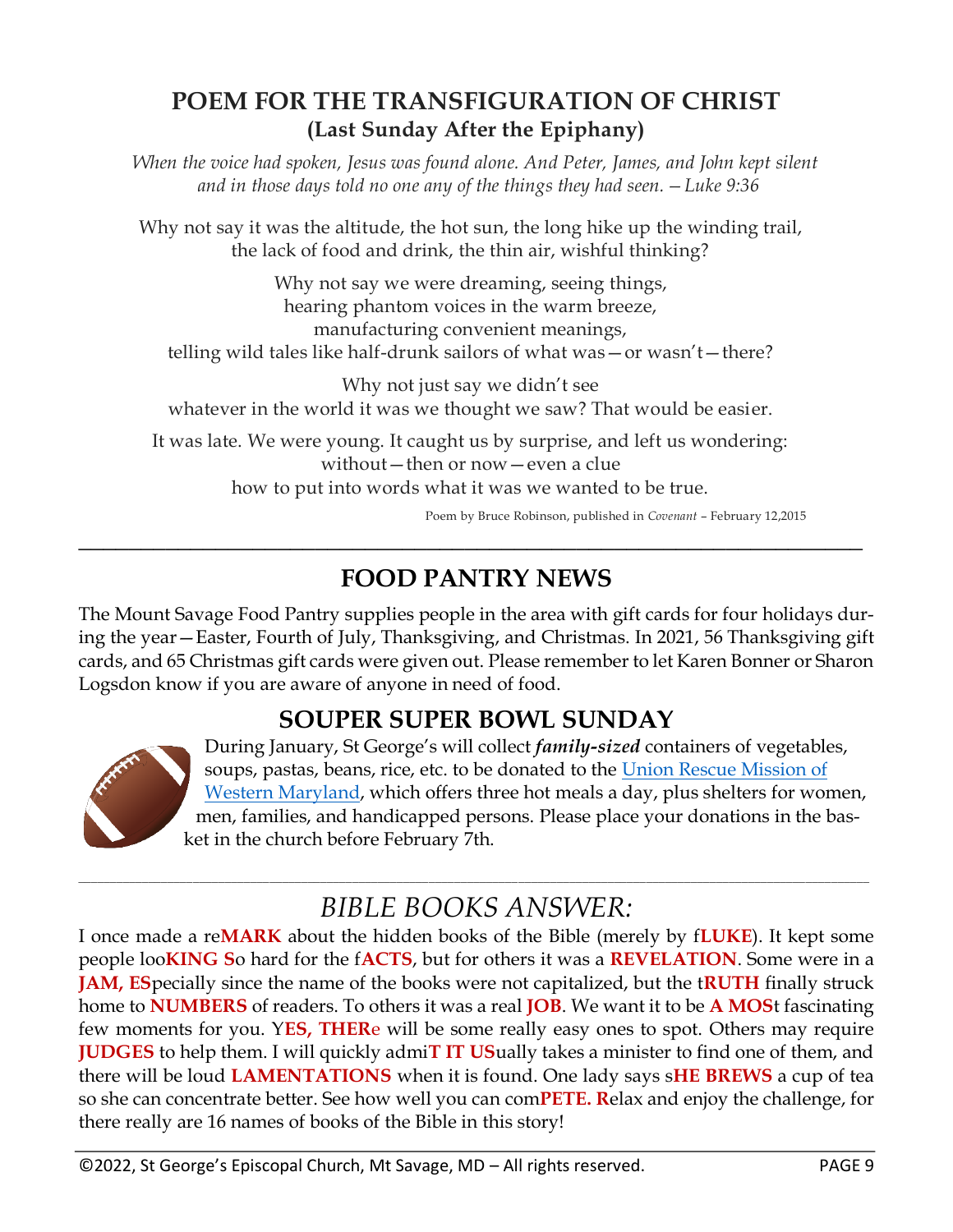### **POEM FOR THE TRANSFIGURATION OF CHRIST (Last Sunday After the Epiphany)**

*When the voice had spoken, Jesus was found alone. And Peter, James, and John kept silent and in those days told no one any of the things they had seen.—Luke 9:36*

Why not say it was the altitude, the hot sun, the long hike up the winding trail, the lack of food and drink, the thin air, wishful thinking?

Why not say we were dreaming, seeing things, hearing phantom voices in the warm breeze, manufacturing convenient meanings, telling wild tales like half-drunk sailors of what was—or wasn't—there?

Why not just say we didn't see whatever in the world it was we thought we saw? That would be easier.

It was late. We were young. It caught us by surprise, and left us wondering: without—then or now—even a clue how to put into words what it was we wanted to be true.

Poem by Bruce Robinson, published in *Covenant* – February 12,2015

### **FOOD PANTRY NEWS**

**\_\_\_\_\_\_\_\_\_\_\_\_\_\_\_\_\_\_\_\_\_\_\_\_\_\_\_\_\_\_\_\_\_\_\_\_\_\_\_\_\_\_\_\_\_\_\_\_\_\_\_\_\_\_\_\_\_\_\_\_\_\_\_**

The Mount Savage Food Pantry supplies people in the area with gift cards for four holidays during the year—Easter, Fourth of July, Thanksgiving, and Christmas. In 2021, 56 Thanksgiving gift cards, and 65 Christmas gift cards were given out. Please remember to let Karen Bonner or Sharon Logsdon know if you are aware of anyone in need of food.

### **SOUPER SUPER BOWL SUNDAY**



During January, St George's will collect *family-sized* containers of vegetables, soups, pastas, beans, rice, etc. to be donated to the [Union Rescue Mission of](https://www.urmcumberland.org/)  [Western Maryland,](https://www.urmcumberland.org/) which offers three hot meals a day, plus shelters for women, men, families, and handicapped persons. Please place your donations in the basket in the church before February 7th.

#### \_\_\_\_\_\_\_\_\_\_\_\_\_\_\_\_\_\_\_\_\_\_\_\_\_\_\_\_\_\_\_\_\_\_\_\_\_\_\_\_\_\_\_\_\_\_\_\_\_\_\_\_\_\_\_\_\_\_\_\_\_\_\_\_\_\_\_\_\_\_\_\_\_\_\_\_\_\_\_\_\_\_\_\_\_\_\_\_\_\_\_\_\_\_\_\_\_\_\_\_\_\_\_\_\_\_\_\_\_\_\_\_\_\_\_\_\_\_\_\_\_\_\_\_ *BIBLE BOOKS ANSWER:*

I once made a re**MARK** about the hidden books of the Bible (merely by f**LUKE**). It kept some people loo**KING S**o hard for the f**ACTS**, but for others it was a **REVELATION**. Some were in a **JAM, ES**pecially since the name of the books were not capitalized, but the t**RUTH** finally struck home to **NUMBERS** of readers. To others it was a real **JOB**. We want it to be **A MOS**t fascinating few moments for you. Y**ES, THER**e will be some really easy ones to spot. Others may require **JUDGES** to help them. I will quickly admi**T IT US**ually takes a minister to find one of them, and there will be loud **LAMENTATIONS** when it is found. One lady says s**HE BREWS** a cup of tea so she can concentrate better. See how well you can com**PETE. R**elax and enjoy the challenge, for there really are 16 names of books of the Bible in this story!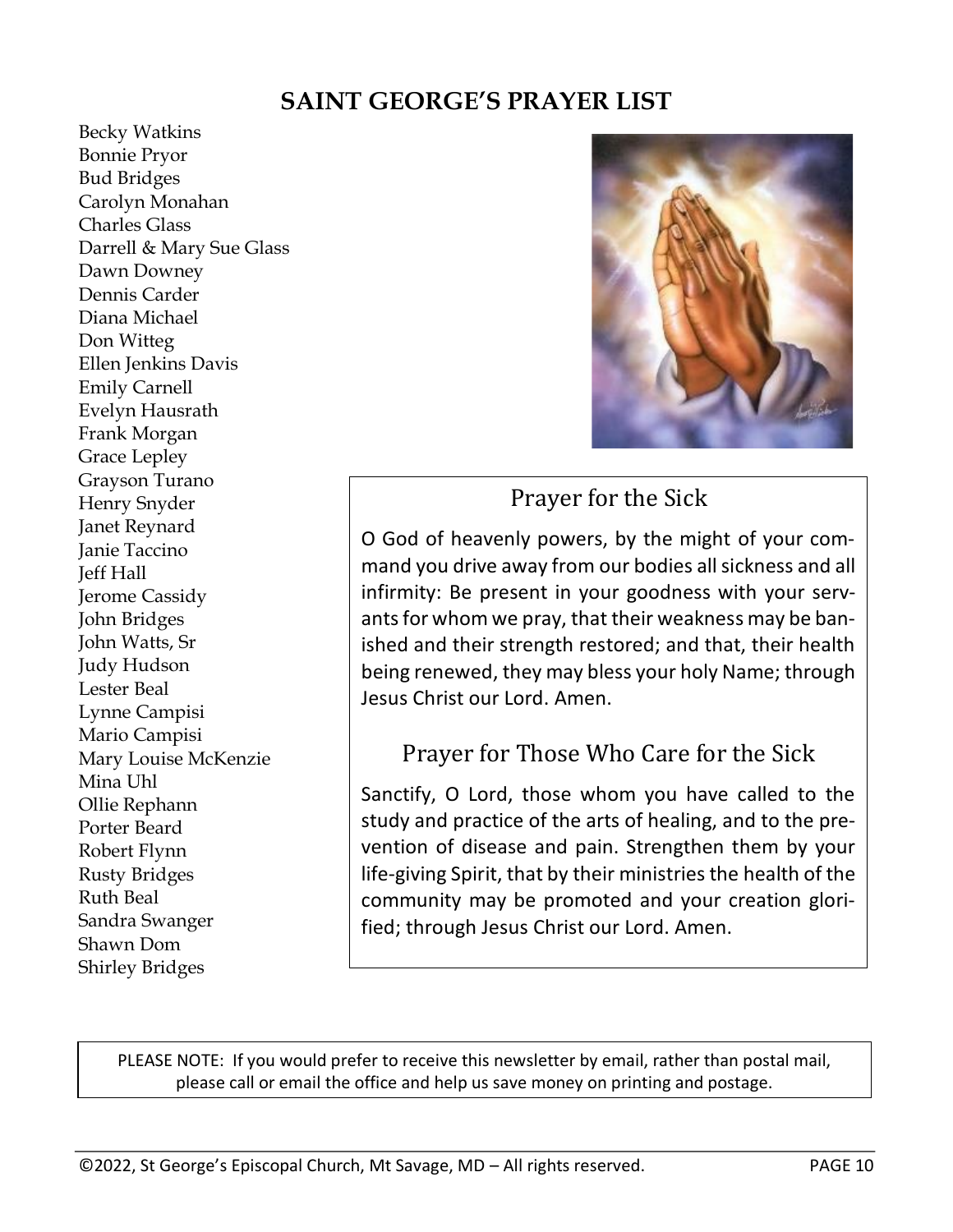### **SAINT GEORGE'S PRAYER LIST**

Becky Watkins Bonnie Pryor Bud Bridges Carolyn Monahan Charles Glass Darrell & Mary Sue Glass Dawn Downey Dennis Carder Diana Michael Don Witteg Ellen Jenkins Davis Emily Carnell Evelyn Hausrath Frank Morgan Grace Lepley Grayson Turano Henry Snyder Janet Reynard Janie Taccino Jeff Hall Jerome Cassidy John Bridges John Watts, Sr Judy Hudson Lester Beal Lynne Campisi Mario Campisi Mary Louise McKenzie Mina Uhl Ollie Rephann Porter Beard Robert Flynn Rusty Bridges Ruth Beal Sandra Swanger Shawn Dom Shirley Bridges



### Prayer for the Sick

O God of heavenly powers, by the might of your command you drive away from our bodies all sickness and all infirmity: Be present in your goodness with your servants for whom we pray, that their weakness may be banished and their strength restored; and that, their health being renewed, they may bless your holy Name; through Jesus Christ our Lord. Amen.

### Prayer for Those Who Care for the Sick

Sanctify, O Lord, those whom you have called to the study and practice of the arts of healing, and to the prevention of disease and pain. Strengthen them by your life-giving Spirit, that by their ministries the health of the community may be promoted and your creation glorified; through Jesus Christ our Lord. Amen.

PLEASE NOTE: If you would prefer to receive this newsletter by email, rather than postal mail, please call or email the office and help us save money on printing and postage.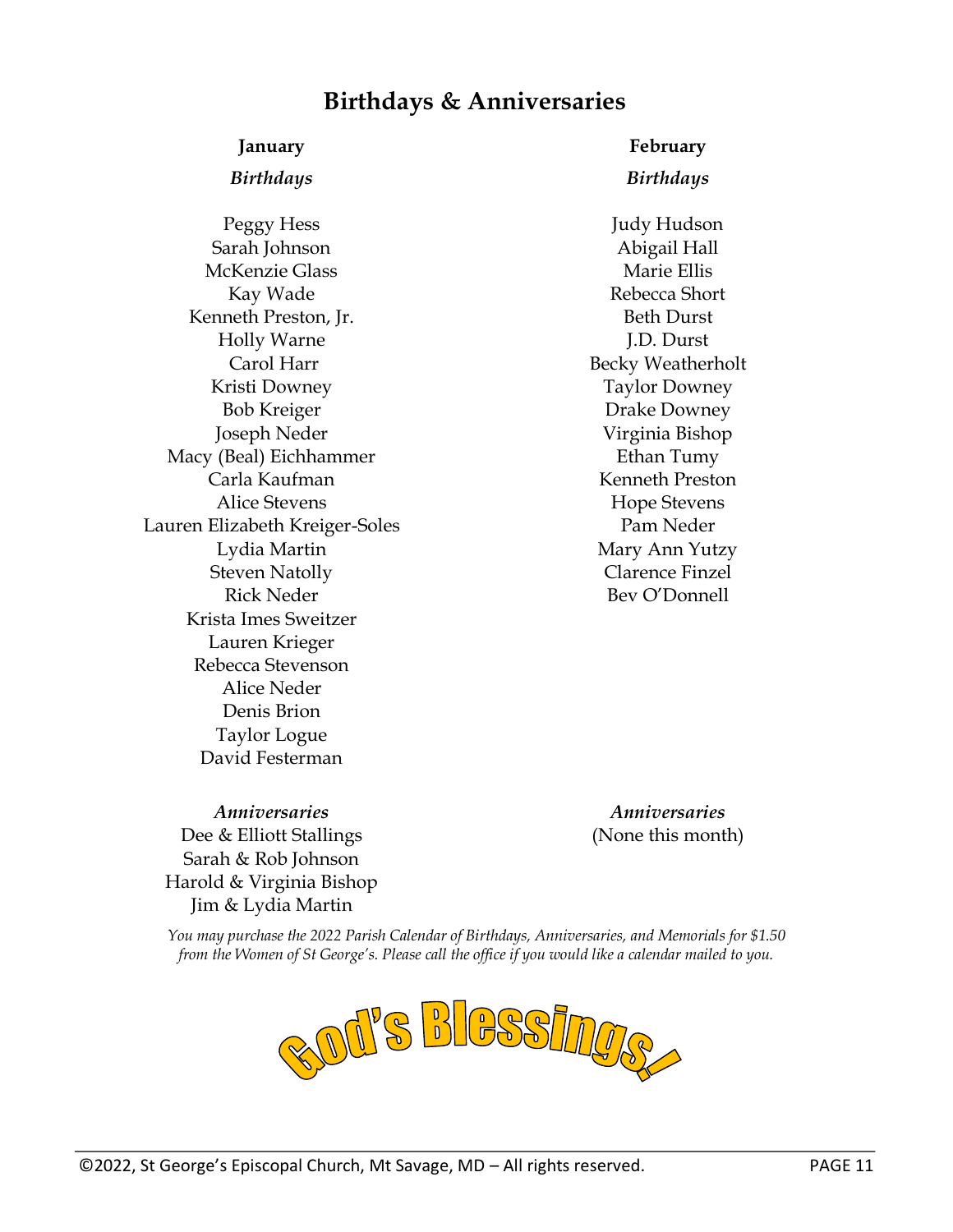### **Birthdays & Anniversaries**

Peggy Hess Sarah Johnson McKenzie Glass Kay Wade Kenneth Preston, Jr. Holly Warne Carol Harr Kristi Downey Bob Kreiger Joseph Neder Macy (Beal) Eichhammer Carla Kaufman Alice Stevens Lauren Elizabeth Kreiger-Soles Lydia Martin Steven Natolly Rick Neder Krista Imes Sweitzer Lauren Krieger Rebecca Stevenson Alice Neder Denis Brion Taylor Logue David Festerman

**January February**

#### *Birthdays Birthdays*

Judy Hudson Abigail Hall Marie Ellis Rebecca Short Beth Durst J.D. Durst Becky Weatherholt Taylor Downey Drake Downey Virginia Bishop Ethan Tumy Kenneth Preston Hope Stevens Pam Neder Mary Ann Yutzy Clarence Finzel Bev O'Donnell

*Anniversaries Anniversaries* Dee & Elliott Stallings Sarah & Rob Johnson Harold & Virginia Bishop Jim & Lydia Martin

(None this month)

*You may purchase the 2022 Parish Calendar of Birthdays, Anniversaries, and Memorials for \$1.50 from the Women of St George's. Please call the office if you would like a calendar mailed to you.*